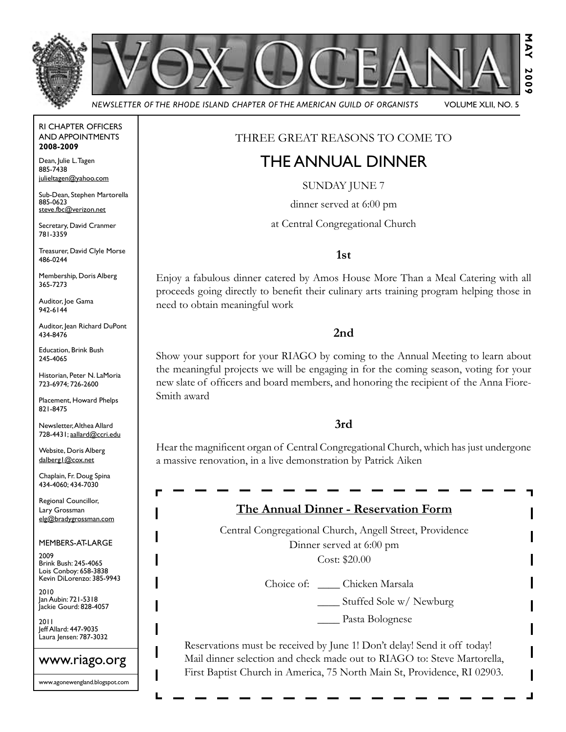



*Newsletter of the Rhode Island Chapter of the American Guild of Organists* Volume XLII, No. 5

#### RI Chapter Officers and Appointments **2008-2009**

Dean, Julie L. Tagen 885-7438 julieltagen@yahoo.com

Sub-Dean, Stephen Martorella 885-0623 steve.fbc@verizon.net

Secretary, David Cranmer 781-3359

Treasurer, David Clyle Morse 486-0244

Membership, Doris Alberg 365-7273

Auditor, Joe Gama 942-6144

Auditor, Jean Richard DuPont 434-8476

Education, Brink Bush 245-4065

Historian, Peter N. LaMoria 723-6974; 726-2600

Placement, Howard Phelps 821-8475

Newsletter, Althea Allard 728-4431; aallard@ccri.edu

Website, Doris Alberg dalberg1@cox.net

Chaplain, Fr. Doug Spina 434-4060; 434-7030

Regional Councillor, Lary Grossman elg@bradygrossman.com

#### Members-at-Large

2009 Brink Bush: 245-4065 Lois Conboy: 658-3838 Kevin DiLorenzo: 385-9943

2010 Jan Aubin: 721-5318 Jackie Gourd: 828-4057

2011 Jeff Allard: 447-9035 .<br>Laura Jensen: 787-3032

#### www.riago.org

www.agonewengland.blogspot.com

I

#### Three great reasons to come to

### The ANNUAL DINNER

SUNDAY JUNE 7

dinner served at 6:00 pm

at Central Congregational Church

#### **1st**

Enjoy a fabulous dinner catered by Amos House More Than a Meal Catering with all proceeds going directly to benefit their culinary arts training program helping those in need to obtain meaningful work

#### **2nd**

Show your support for your RIAGO by coming to the Annual Meeting to learn about the meaningful projects we will be engaging in for the coming season, voting for your new slate of officers and board members, and honoring the recipient of the Anna Fiore-Smith award

#### **3rd**

Hear the magnificent organ of Central Congregational Church, which has just undergone a massive renovation, in a live demonstration by Patrick Aiken

### **The Annual Dinner - Reservation Form**

Central Congregational Church, Angell Street, Providence Dinner served at 6:00 pm Cost: \$20.00

Choice of: Chicken Marsala

\_\_\_\_ Stuffed Sole w/ Newburg

\_\_\_\_ Pasta Bolognese

Reservations must be received by June 1! Don't delay! Send it off today! Mail dinner selection and check made out to RIAGO to: Steve Martorella, First Baptist Church in America, 75 North Main St, Providence, RI 02903.